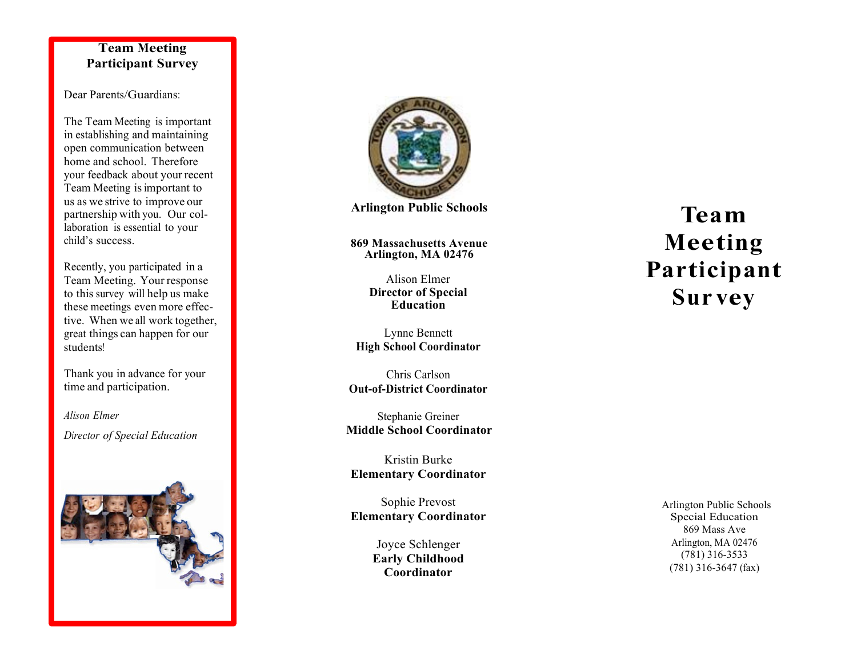## **Team Mee ting Par ticipant Survey**

## Dear Parents/Guardians:

 The Team Meeting is important home and school. Therefore your feedback about your recent Team Meeting is important to us as we strive to improve our partnership with you. Our col - laboration is essential to your child's success. Recently, you partic ipated in a in establishing and maintain ing open comm unication between

 Team Meeting. Your respon se to this survey will help us make these meetings even more effec - tive. When we all work tog ether, great things can happen for our students!<br>Thank you in advance for your

time and parti cipation.

 *D ire ctor of Special Education Alison El m er* 





**Arlington Public Schools** 

**869 Massachusetts Avenue Arlington, MA 02476** 

> Alison Elmer **Director of Special Education**

 Lynne Bennett  **High School Coordinator** 

 Chris Carlson **Out -of-District Coordinator** 

 **Middle School Coordinator**  Stephanie Greiner

Kristin Burke **Elementary Coordinator** 

Sophie Prevost **Elementary Coordinator** 

> **Early Childhood**  Joyce Schlenger **Coordinator**

 Arlington Public Schools  $(781)$  316-3533 Arlington, MA 02476 (781) 316-3533 (781) 316-3647 (fax) Special Education 869 Mass Ave

## **Te am Meeting Participant Survey**